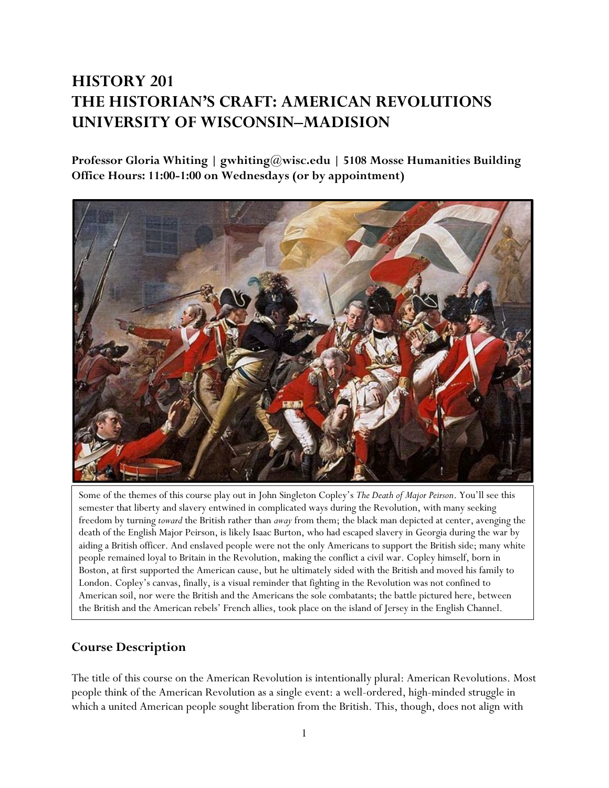# **HISTORY 201 THE HISTORIAN'S CRAFT: AMERICAN REVOLUTIONS UNIVERSITY OF WISCONSIN–MADISION**

**Professor Gloria Whiting | gwhiting@wisc.edu | 5108 Mosse Humanities Building Office Hours: 11:00-1:00 on Wednesdays (or by appointment)**



Some of the themes of this course play out in John Singleton Copley's *The Death of Major Peirson*. You'll see this semester that liberty and slavery entwined in complicated ways during the Revolution, with many seeking freedom by turning *toward* the British rather than *away* from them; the black man depicted at center, avenging the death of the English Major Peirson, is likely Isaac Burton, who had escaped slavery in Georgia during the war by aiding a British officer. And enslaved people were not the only Americans to support the British side; many white people remained loyal to Britain in the Revolution, making the conflict a civil war. Copley himself, born in Boston, at first supported the American cause, but he ultimately sided with the British and moved his family to London. Copley's canvas, finally, is a visual reminder that fighting in the Revolution was not confined to American soil, nor were the British and the Americans the sole combatants; the battle pictured here, between the British and the American rebels' French allies, took place on the island of Jersey in the English Channel.

### **Course Description**

The title of this course on the American Revolution is intentionally plural: American Revolutions. Most people think of the American Revolution as a single event: a well-ordered, high-minded struggle in which a united American people sought liberation from the British. This, though, does not align with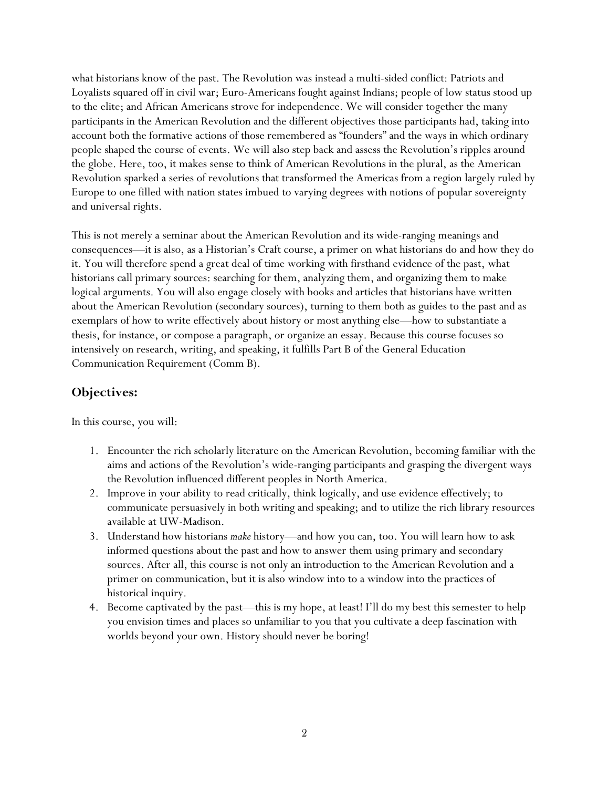what historians know of the past. The Revolution was instead a multi-sided conflict: Patriots and Loyalists squared off in civil war; Euro-Americans fought against Indians; people of low status stood up to the elite; and African Americans strove for independence. We will consider together the many participants in the American Revolution and the different objectives those participants had, taking into account both the formative actions of those remembered as "founders" and the ways in which ordinary people shaped the course of events. We will also step back and assess the Revolution's ripples around the globe. Here, too, it makes sense to think of American Revolutions in the plural, as the American Revolution sparked a series of revolutions that transformed the Americas from a region largely ruled by Europe to one filled with nation states imbued to varying degrees with notions of popular sovereignty and universal rights.

This is not merely a seminar about the American Revolution and its wide-ranging meanings and consequences—it is also, as a Historian's Craft course, a primer on what historians do and how they do it. You will therefore spend a great deal of time working with firsthand evidence of the past, what historians call primary sources: searching for them, analyzing them, and organizing them to make logical arguments. You will also engage closely with books and articles that historians have written about the American Revolution (secondary sources), turning to them both as guides to the past and as exemplars of how to write effectively about history or most anything else—how to substantiate a thesis, for instance, or compose a paragraph, or organize an essay. Because this course focuses so intensively on research, writing, and speaking, it fulfills Part B of the General Education Communication Requirement (Comm B).

### **Objectives:**

In this course, you will:

- 1. Encounter the rich scholarly literature on the American Revolution, becoming familiar with the aims and actions of the Revolution's wide-ranging participants and grasping the divergent ways the Revolution influenced different peoples in North America.
- 2. Improve in your ability to read critically, think logically, and use evidence effectively; to communicate persuasively in both writing and speaking; and to utilize the rich library resources available at UW-Madison.
- 3. Understand how historians *make* history—and how you can, too. You will learn how to ask informed questions about the past and how to answer them using primary and secondary sources. After all, this course is not only an introduction to the American Revolution and a primer on communication, but it is also window into to a window into the practices of historical inquiry.
- 4. Become captivated by the past—this is my hope, at least! I'll do my best this semester to help you envision times and places so unfamiliar to you that you cultivate a deep fascination with worlds beyond your own. History should never be boring!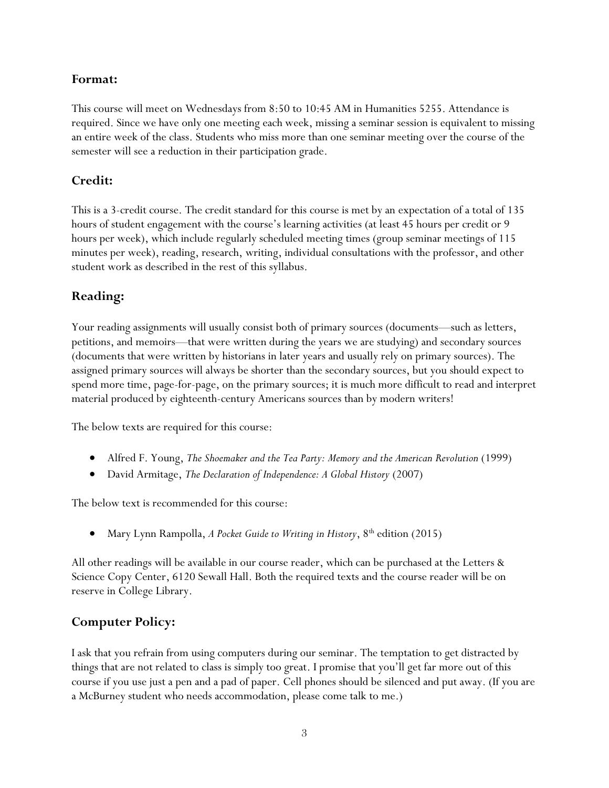### **Format:**

This course will meet on Wednesdays from 8:50 to 10:45 AM in Humanities 5255. Attendance is required. Since we have only one meeting each week, missing a seminar session is equivalent to missing an entire week of the class. Students who miss more than one seminar meeting over the course of the semester will see a reduction in their participation grade.

## **Credit:**

This is a 3-credit course. The credit standard for this course is met by an expectation of a total of 135 hours of student engagement with the course's learning activities (at least 45 hours per credit or 9 hours per week), which include regularly scheduled meeting times (group seminar meetings of 115 minutes per week), reading, research, writing, individual consultations with the professor, and other student work as described in the rest of this syllabus.

## **Reading:**

Your reading assignments will usually consist both of primary sources (documents—such as letters, petitions, and memoirs—that were written during the years we are studying) and secondary sources (documents that were written by historians in later years and usually rely on primary sources). The assigned primary sources will always be shorter than the secondary sources, but you should expect to spend more time, page-for-page, on the primary sources; it is much more difficult to read and interpret material produced by eighteenth-century Americans sources than by modern writers!

The below texts are required for this course:

- Alfred F. Young, *The Shoemaker and the Tea Party: Memory and the American Revolution* (1999)
- David Armitage, *The Declaration of Independence: A Global History* (2007)

The below text is recommended for this course:

• Mary Lynn Rampolla, *A Pocket Guide to Writing in History*, 8<sup>th</sup> edition (2015)

All other readings will be available in our course reader, which can be purchased at the Letters & Science Copy Center, 6120 Sewall Hall. Both the required texts and the course reader will be on reserve in College Library.

## **Computer Policy:**

I ask that you refrain from using computers during our seminar. The temptation to get distracted by things that are not related to class is simply too great. I promise that you'll get far more out of this course if you use just a pen and a pad of paper. Cell phones should be silenced and put away. (If you are a McBurney student who needs accommodation, please come talk to me.)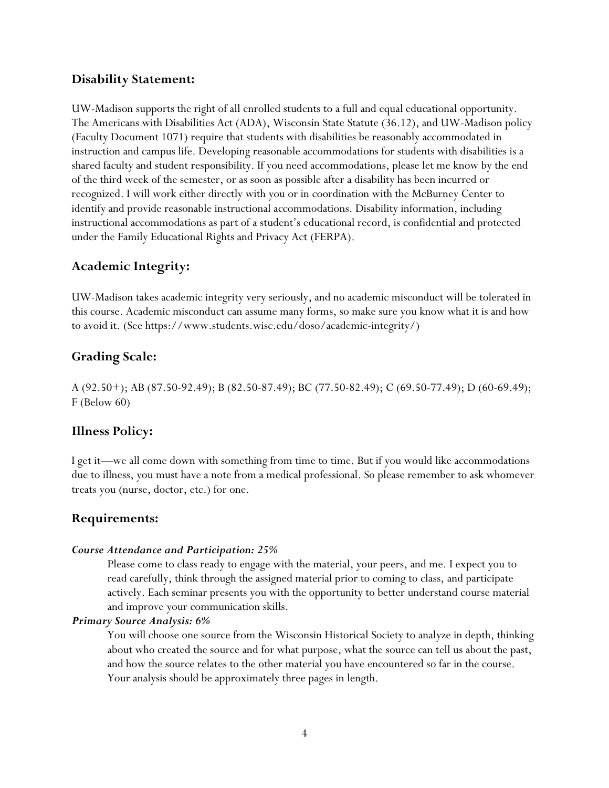### **Disability Statement:**

UW-Madison supports the right of all enrolled students to a full and equal educational opportunity. The Americans with Disabilities Act (ADA), Wisconsin State Statute (36.12), and UW-Madison policy (Faculty Document 1071) require that students with disabilities be reasonably accommodated in instruction and campus life. Developing reasonable accommodations for students with disabilities is a shared faculty and student responsibility. If you need accommodations, please let me know by the end of the third week of the semester, or as soon as possible after a disability has been incurred or recognized. I will work either directly with you or in coordination with the McBurney Center to identify and provide reasonable instructional accommodations. Disability information, including instructional accommodations as part of a student's educational record, is confidential and protected under the Family Educational Rights and Privacy Act (FERPA).

### **Academic Integrity:**

UW-Madison takes academic integrity very seriously, and no academic misconduct will be tolerated in this course. Academic misconduct can assume many forms, so make sure you know what it is and how to avoid it. (See https://www.students.wisc.edu/doso/academic-integrity/)

### **Grading Scale:**

A (92.50+); AB (87.50-92.49); B (82.50-87.49); BC (77.50-82.49); C (69.50-77.49); D (60-69.49); F (Below 60)

### **Illness Policy:**

I get it—we all come down with something from time to time. But if you would like accommodations due to illness, you must have a note from a medical professional. So please remember to ask whomever treats you (nurse, doctor, etc.) for one.

### **Requirements:**

#### *Course Attendance and Participation: 25%*

Please come to class ready to engage with the material, your peers, and me. I expect you to read carefully, think through the assigned material prior to coming to class, and participate actively. Each seminar presents you with the opportunity to better understand course material and improve your communication skills.

#### *Primary Source Analysis: 6%*

You will choose one source from the Wisconsin Historical Society to analyze in depth, thinking about who created the source and for what purpose, what the source can tell us about the past, and how the source relates to the other material you have encountered so far in the course. Your analysis should be approximately three pages in length.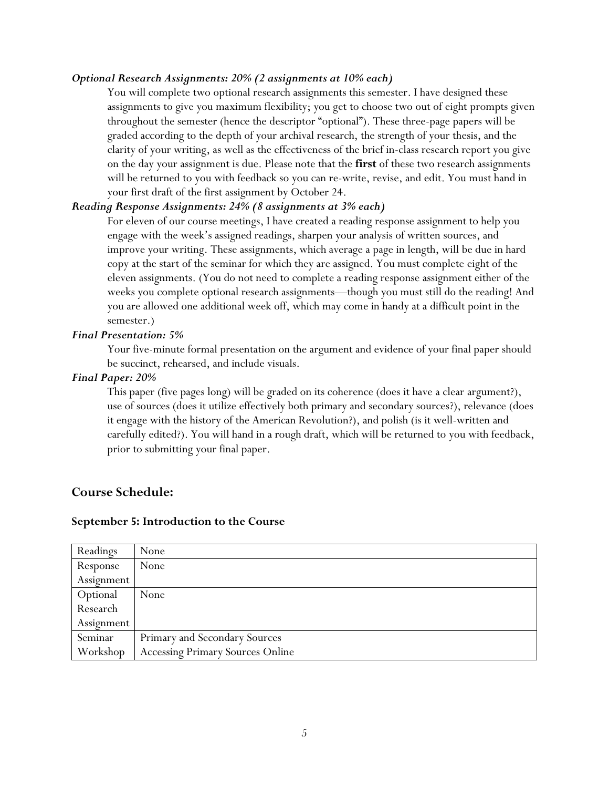### *Optional Research Assignments: 20% (2 assignments at 10% each)*

You will complete two optional research assignments this semester. I have designed these assignments to give you maximum flexibility; you get to choose two out of eight prompts given throughout the semester (hence the descriptor "optional"). These three-page papers will be graded according to the depth of your archival research, the strength of your thesis, and the clarity of your writing, as well as the effectiveness of the brief in-class research report you give on the day your assignment is due. Please note that the **first** of these two research assignments will be returned to you with feedback so you can re-write, revise, and edit. You must hand in your first draft of the first assignment by October 24.

### *Reading Response Assignments: 24% (8 assignments at 3% each)*

For eleven of our course meetings, I have created a reading response assignment to help you engage with the week's assigned readings, sharpen your analysis of written sources, and improve your writing. These assignments, which average a page in length, will be due in hard copy at the start of the seminar for which they are assigned. You must complete eight of the eleven assignments. (You do not need to complete a reading response assignment either of the weeks you complete optional research assignments—though you must still do the reading! And you are allowed one additional week off, which may come in handy at a difficult point in the semester.)

#### *Final Presentation: 5%*

Your five-minute formal presentation on the argument and evidence of your final paper should be succinct, rehearsed, and include visuals.

#### *Final Paper: 20%*

This paper (five pages long) will be graded on its coherence (does it have a clear argument?), use of sources (does it utilize effectively both primary and secondary sources?), relevance (does it engage with the history of the American Revolution?), and polish (is it well-written and carefully edited?). You will hand in a rough draft, which will be returned to you with feedback, prior to submitting your final paper.

### **Course Schedule:**

#### **September 5: Introduction to the Course**

| Readings   | None                             |
|------------|----------------------------------|
| Response   | None                             |
| Assignment |                                  |
| Optional   | None                             |
| Research   |                                  |
| Assignment |                                  |
| Seminar    | Primary and Secondary Sources    |
| Workshop   | Accessing Primary Sources Online |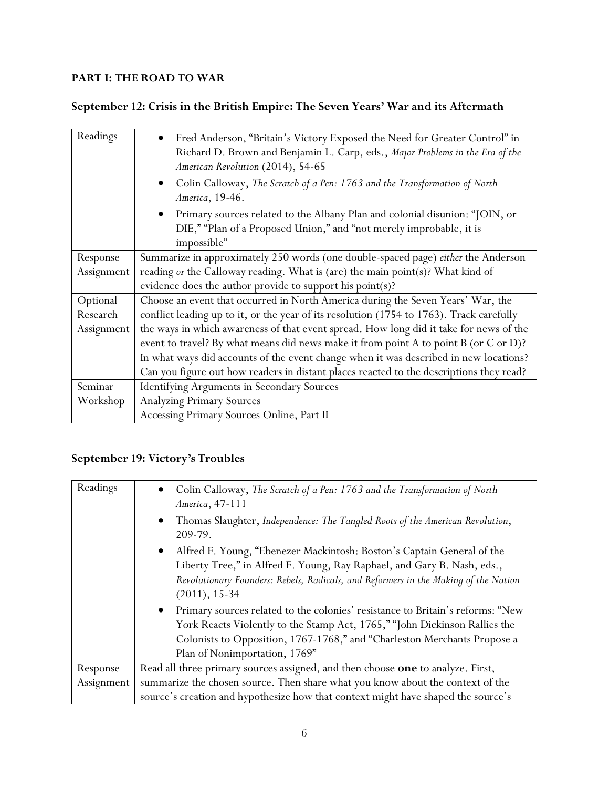## **PART I: THE ROAD TO WAR**

**September 12: Crisis in the British Empire: The Seven Years' War and its Aftermath**

| Readings   | Fred Anderson, "Britain's Victory Exposed the Need for Greater Control" in<br>Richard D. Brown and Benjamin L. Carp, eds., Major Problems in the Era of the<br>American Revolution (2014), 54-65 |
|------------|--------------------------------------------------------------------------------------------------------------------------------------------------------------------------------------------------|
|            | Colin Calloway, The Scratch of a Pen: 1763 and the Transformation of North<br>America, 19-46.                                                                                                    |
|            | Primary sources related to the Albany Plan and colonial disunion: "JOIN, or<br>$\bullet$<br>DIE," "Plan of a Proposed Union," and "not merely improbable, it is<br>impossible"                   |
| Response   | Summarize in approximately 250 words (one double-spaced page) either the Anderson                                                                                                                |
| Assignment | reading or the Calloway reading. What is (are) the main point(s)? What kind of                                                                                                                   |
|            | evidence does the author provide to support his point(s)?                                                                                                                                        |
| Optional   | Choose an event that occurred in North America during the Seven Years' War, the                                                                                                                  |
| Research   | conflict leading up to it, or the year of its resolution (1754 to 1763). Track carefully                                                                                                         |
| Assignment | the ways in which awareness of that event spread. How long did it take for news of the                                                                                                           |
|            | event to travel? By what means did news make it from point A to point B (or C or D)?                                                                                                             |
|            | In what ways did accounts of the event change when it was described in new locations?                                                                                                            |
|            | Can you figure out how readers in distant places reacted to the descriptions they read?                                                                                                          |
| Seminar    | <b>Identifying Arguments in Secondary Sources</b>                                                                                                                                                |
| Workshop   | <b>Analyzing Primary Sources</b>                                                                                                                                                                 |
|            | Accessing Primary Sources Online, Part II                                                                                                                                                        |

## **September 19: Victory's Troubles**

| Readings   | Colin Calloway, The Scratch of a Pen: 1763 and the Transformation of North<br>$\bullet$<br>America, 47-111<br>Thomas Slaughter, Independence: The Tangled Roots of the American Revolution,<br>$\bullet$<br>209-79.                                                                    |
|------------|----------------------------------------------------------------------------------------------------------------------------------------------------------------------------------------------------------------------------------------------------------------------------------------|
|            | Alfred F. Young, "Ebenezer Mackintosh: Boston's Captain General of the<br>$\bullet$<br>Liberty Tree," in Alfred F. Young, Ray Raphael, and Gary B. Nash, eds.,<br>Revolutionary Founders: Rebels, Radicals, and Reformers in the Making of the Nation<br>$(2011), 15-34$               |
|            | Primary sources related to the colonies' resistance to Britain's reforms: "New<br>$\bullet$<br>York Reacts Violently to the Stamp Act, 1765," "John Dickinson Rallies the<br>Colonists to Opposition, 1767-1768," and "Charleston Merchants Propose a<br>Plan of Nonimportation, 1769" |
| Response   | Read all three primary sources assigned, and then choose one to analyze. First,                                                                                                                                                                                                        |
| Assignment | summarize the chosen source. Then share what you know about the context of the                                                                                                                                                                                                         |
|            | source's creation and hypothesize how that context might have shaped the source's                                                                                                                                                                                                      |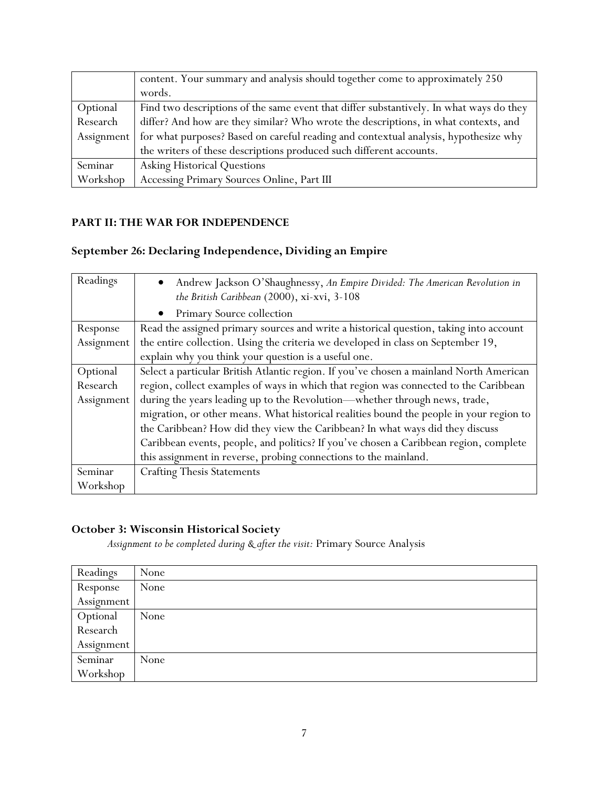|            | content. Your summary and analysis should together come to approximately 250            |
|------------|-----------------------------------------------------------------------------------------|
|            | words.                                                                                  |
| Optional   | Find two descriptions of the same event that differ substantively. In what ways do they |
| Research   | differ? And how are they similar? Who wrote the descriptions, in what contexts, and     |
| Assignment | for what purposes? Based on careful reading and contextual analysis, hypothesize why    |
|            | the writers of these descriptions produced such different accounts.                     |
| Seminar    | Asking Historical Questions                                                             |
| Workshop   | Accessing Primary Sources Online, Part III                                              |

### **PART II: THE WAR FOR INDEPENDENCE**

## **September 26: Declaring Independence, Dividing an Empire**

| Readings   | Andrew Jackson O'Shaughnessy, An Empire Divided: The American Revolution in<br>$\bullet$<br>the British Caribbean (2000), xi-xvi, 3-108 |
|------------|-----------------------------------------------------------------------------------------------------------------------------------------|
|            |                                                                                                                                         |
|            | Primary Source collection<br>$\bullet$                                                                                                  |
| Response   | Read the assigned primary sources and write a historical question, taking into account                                                  |
| Assignment | the entire collection. Using the criteria we developed in class on September 19,                                                        |
|            | explain why you think your question is a useful one.                                                                                    |
| Optional   | Select a particular British Atlantic region. If you've chosen a mainland North American                                                 |
| Research   | region, collect examples of ways in which that region was connected to the Caribbean                                                    |
| Assignment | during the years leading up to the Revolution-whether through news, trade,                                                              |
|            | migration, or other means. What historical realities bound the people in your region to                                                 |
|            | the Caribbean? How did they view the Caribbean? In what ways did they discuss                                                           |
|            | Caribbean events, people, and politics? If you've chosen a Caribbean region, complete                                                   |
|            | this assignment in reverse, probing connections to the mainland.                                                                        |
| Seminar    | <b>Crafting Thesis Statements</b>                                                                                                       |
| Workshop   |                                                                                                                                         |

### **October 3: Wisconsin Historical Society**

*Assignment to be completed during & after the visit:* Primary Source Analysis

| Readings   | None |
|------------|------|
| Response   | None |
| Assignment |      |
| Optional   | None |
| Research   |      |
| Assignment |      |
| Seminar    | None |
| Workshop   |      |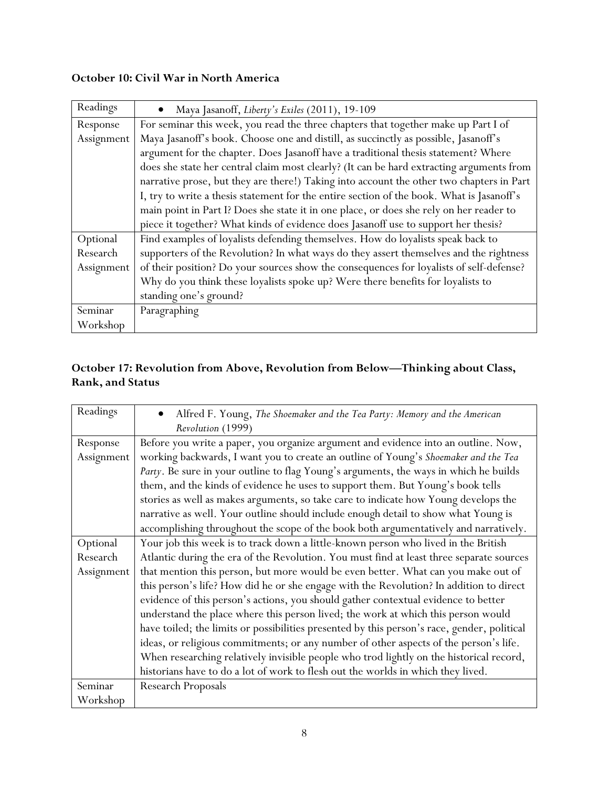## **October 10: Civil War in North America**

| Readings   | Maya Jasanoff, Liberty's Exiles (2011), 19-109                                            |
|------------|-------------------------------------------------------------------------------------------|
| Response   | For seminar this week, you read the three chapters that together make up Part I of        |
| Assignment | Maya Jasanoff's book. Choose one and distill, as succinctly as possible, Jasanoff's       |
|            | argument for the chapter. Does Jasanoff have a traditional thesis statement? Where        |
|            | does she state her central claim most clearly? (It can be hard extracting arguments from  |
|            | narrative prose, but they are there!) Taking into account the other two chapters in Part  |
|            | I, try to write a thesis statement for the entire section of the book. What is Jasanoff's |
|            | main point in Part I? Does she state it in one place, or does she rely on her reader to   |
|            | piece it together? What kinds of evidence does Jasanoff use to support her thesis?        |
| Optional   | Find examples of loyalists defending themselves. How do loyalists speak back to           |
| Research   | supporters of the Revolution? In what ways do they assert themselves and the rightness    |
| Assignment | of their position? Do your sources show the consequences for loyalists of self-defense?   |
|            | Why do you think these loyalists spoke up? Were there benefits for loyalists to           |
|            | standing one's ground?                                                                    |
| Seminar    | Paragraphing                                                                              |
| Workshop   |                                                                                           |

## **October 17: Revolution from Above, Revolution from Below—Thinking about Class, Rank, and Status**

| Readings   | Alfred F. Young, The Shoemaker and the Tea Party: Memory and the American                   |
|------------|---------------------------------------------------------------------------------------------|
|            | Revolution (1999)                                                                           |
| Response   | Before you write a paper, you organize argument and evidence into an outline. Now,          |
| Assignment | working backwards, I want you to create an outline of Young's Shoemaker and the Tea         |
|            | Party. Be sure in your outline to flag Young's arguments, the ways in which he builds       |
|            | them, and the kinds of evidence he uses to support them. But Young's book tells             |
|            | stories as well as makes arguments, so take care to indicate how Young develops the         |
|            | narrative as well. Your outline should include enough detail to show what Young is          |
|            | accomplishing throughout the scope of the book both argumentatively and narratively.        |
| Optional   | Your job this week is to track down a little-known person who lived in the British          |
| Research   | Atlantic during the era of the Revolution. You must find at least three separate sources    |
| Assignment | that mention this person, but more would be even better. What can you make out of           |
|            | this person's life? How did he or she engage with the Revolution? In addition to direct     |
|            | evidence of this person's actions, you should gather contextual evidence to better          |
|            | understand the place where this person lived; the work at which this person would           |
|            | have toiled; the limits or possibilities presented by this person's race, gender, political |
|            | ideas, or religious commitments; or any number of other aspects of the person's life.       |
|            | When researching relatively invisible people who trod lightly on the historical record,     |
|            | historians have to do a lot of work to flesh out the worlds in which they lived.            |
| Seminar    | <b>Research Proposals</b>                                                                   |
| Workshop   |                                                                                             |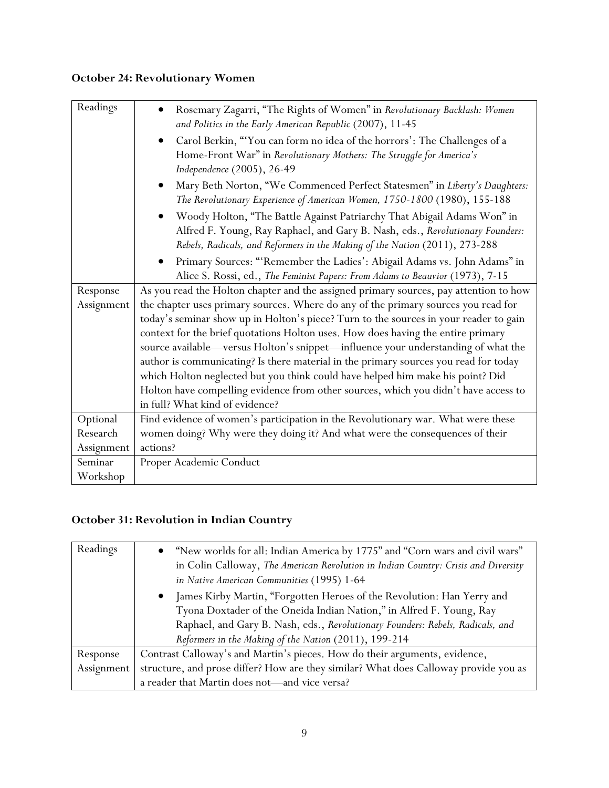## **October 24: Revolutionary Women**

| Readings   | Rosemary Zagarri, "The Rights of Women" in Revolutionary Backlash: Women<br>and Politics in the Early American Republic (2007), 11-45                                                                                                   |
|------------|-----------------------------------------------------------------------------------------------------------------------------------------------------------------------------------------------------------------------------------------|
|            | Carol Berkin, "You can form no idea of the horrors': The Challenges of a<br>$\bullet$<br>Home-Front War" in Revolutionary Mothers: The Struggle for America's<br>Independence (2005), 26-49                                             |
|            | Mary Beth Norton, "We Commenced Perfect Statesmen" in Liberty's Daughters:<br>The Revolutionary Experience of American Women, 1750-1800 (1980), 155-188                                                                                 |
|            | Woody Holton, "The Battle Against Patriarchy That Abigail Adams Won" in<br>Alfred F. Young, Ray Raphael, and Gary B. Nash, eds., Revolutionary Founders:<br>Rebels, Radicals, and Reformers in the Making of the Nation (2011), 273-288 |
|            | Primary Sources: "'Remember the Ladies': Abigail Adams vs. John Adams" in<br>Alice S. Rossi, ed., The Feminist Papers: From Adams to Beauvior (1973), 7-15                                                                              |
| Response   | As you read the Holton chapter and the assigned primary sources, pay attention to how                                                                                                                                                   |
| Assignment | the chapter uses primary sources. Where do any of the primary sources you read for                                                                                                                                                      |
|            | today's seminar show up in Holton's piece? Turn to the sources in your reader to gain                                                                                                                                                   |
|            | context for the brief quotations Holton uses. How does having the entire primary                                                                                                                                                        |
|            | source available—versus Holton's snippet—influence your understanding of what the                                                                                                                                                       |
|            | author is communicating? Is there material in the primary sources you read for today                                                                                                                                                    |
|            | which Holton neglected but you think could have helped him make his point? Did                                                                                                                                                          |
|            | Holton have compelling evidence from other sources, which you didn't have access to                                                                                                                                                     |
|            | in full? What kind of evidence?                                                                                                                                                                                                         |
| Optional   | Find evidence of women's participation in the Revolutionary war. What were these                                                                                                                                                        |
| Research   | women doing? Why were they doing it? And what were the consequences of their                                                                                                                                                            |
| Assignment | actions?                                                                                                                                                                                                                                |
| Seminar    | Proper Academic Conduct                                                                                                                                                                                                                 |
| Workshop   |                                                                                                                                                                                                                                         |

## **October 31: Revolution in Indian Country**

| Readings   | • "New worlds for all: Indian America by 1775" and "Corn wars and civil wars"<br>in Colin Calloway, The American Revolution in Indian Country: Crisis and Diversity<br>in Native American Communities (1995) 1-64                                                                                      |
|------------|--------------------------------------------------------------------------------------------------------------------------------------------------------------------------------------------------------------------------------------------------------------------------------------------------------|
|            | James Kirby Martin, "Forgotten Heroes of the Revolution: Han Yerry and<br>$\bullet$<br>Tyona Doxtader of the Oneida Indian Nation," in Alfred F. Young, Ray<br>Raphael, and Gary B. Nash, eds., Revolutionary Founders: Rebels, Radicals, and<br>Reformers in the Making of the Nation (2011), 199-214 |
| Response   | Contrast Calloway's and Martin's pieces. How do their arguments, evidence,                                                                                                                                                                                                                             |
| Assignment | structure, and prose differ? How are they similar? What does Calloway provide you as                                                                                                                                                                                                                   |
|            | a reader that Martin does not-and vice versa?                                                                                                                                                                                                                                                          |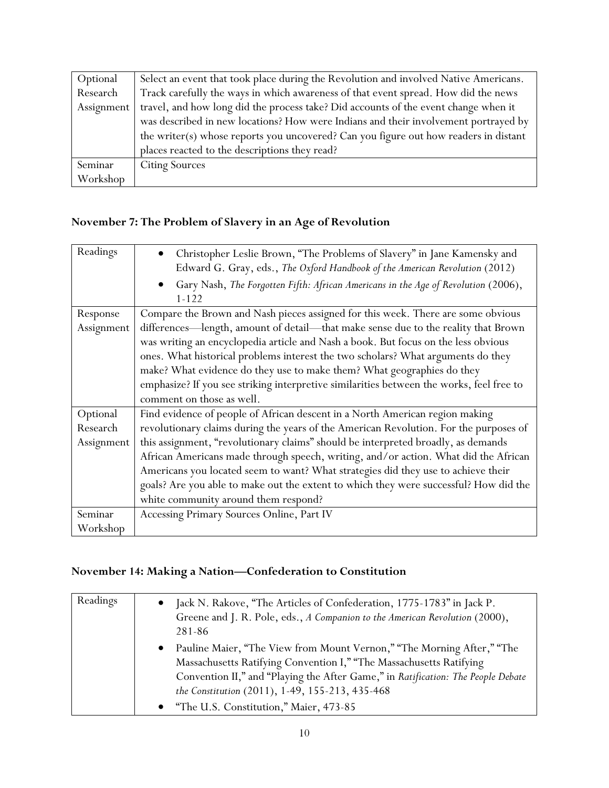| Optional   | Select an event that took place during the Revolution and involved Native Americans. |
|------------|--------------------------------------------------------------------------------------|
| Research   | Track carefully the ways in which awareness of that event spread. How did the news   |
| Assignment | travel, and how long did the process take? Did accounts of the event change when it  |
|            | was described in new locations? How were Indians and their involvement portrayed by  |
|            | the writer(s) whose reports you uncovered? Can you figure out how readers in distant |
|            | places reacted to the descriptions they read?                                        |
| Seminar    | <b>Citing Sources</b>                                                                |
| Workshop   |                                                                                      |

## **November 7: The Problem of Slavery in an Age of Revolution**

| Readings   | Christopher Leslie Brown, "The Problems of Slavery" in Jane Kamensky and<br>$\bullet$<br>Edward G. Gray, eds., The Oxford Handbook of the American Revolution (2012) |
|------------|----------------------------------------------------------------------------------------------------------------------------------------------------------------------|
|            | Gary Nash, The Forgotten Fifth: African Americans in the Age of Revolution (2006),<br>$\bullet$<br>$1 - 122$                                                         |
| Response   | Compare the Brown and Nash pieces assigned for this week. There are some obvious                                                                                     |
| Assignment | differences-length, amount of detail-that make sense due to the reality that Brown                                                                                   |
|            | was writing an encyclopedia article and Nash a book. But focus on the less obvious                                                                                   |
|            | ones. What historical problems interest the two scholars? What arguments do they                                                                                     |
|            | make? What evidence do they use to make them? What geographies do they                                                                                               |
|            | emphasize? If you see striking interpretive similarities between the works, feel free to                                                                             |
|            | comment on those as well.                                                                                                                                            |
| Optional   | Find evidence of people of African descent in a North American region making                                                                                         |
| Research   | revolutionary claims during the years of the American Revolution. For the purposes of                                                                                |
| Assignment | this assignment, "revolutionary claims" should be interpreted broadly, as demands                                                                                    |
|            | African Americans made through speech, writing, and/or action. What did the African                                                                                  |
|            | Americans you located seem to want? What strategies did they use to achieve their                                                                                    |
|            | goals? Are you able to make out the extent to which they were successful? How did the                                                                                |
|            | white community around them respond?                                                                                                                                 |
| Seminar    | Accessing Primary Sources Online, Part IV                                                                                                                            |
| Workshop   |                                                                                                                                                                      |

## **November 14: Making a Nation—Confederation to Constitution**

| Readings | Jack N. Rakove, "The Articles of Confederation, 1775-1783" in Jack P.<br>Greene and J. R. Pole, eds., A Companion to the American Revolution (2000),<br>281-86                                                                                                                                    |
|----------|---------------------------------------------------------------------------------------------------------------------------------------------------------------------------------------------------------------------------------------------------------------------------------------------------|
|          | Pauline Maier, "The View from Mount Vernon," "The Morning After," "The<br>$\bullet$<br>Massachusetts Ratifying Convention I," "The Massachusetts Ratifying<br>Convention II," and "Playing the After Game," in Ratification: The People Debate<br>the Constitution (2011), 1-49, 155-213, 435-468 |
|          | "The U.S. Constitution," Maier, 473-85                                                                                                                                                                                                                                                            |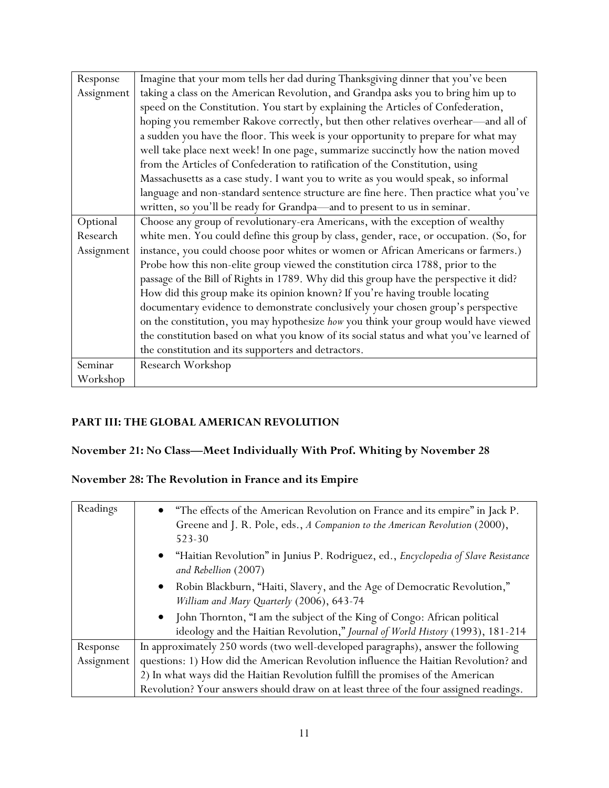| Response   | Imagine that your mom tells her dad during Thanksgiving dinner that you've been         |
|------------|-----------------------------------------------------------------------------------------|
| Assignment | taking a class on the American Revolution, and Grandpa asks you to bring him up to      |
|            | speed on the Constitution. You start by explaining the Articles of Confederation,       |
|            | hoping you remember Rakove correctly, but then other relatives overhear-and all of      |
|            | a sudden you have the floor. This week is your opportunity to prepare for what may      |
|            | well take place next week! In one page, summarize succinctly how the nation moved       |
|            | from the Articles of Confederation to ratification of the Constitution, using           |
|            | Massachusetts as a case study. I want you to write as you would speak, so informal      |
|            | language and non-standard sentence structure are fine here. Then practice what you've   |
|            | written, so you'll be ready for Grandpa—and to present to us in seminar.                |
| Optional   | Choose any group of revolutionary-era Americans, with the exception of wealthy          |
| Research   | white men. You could define this group by class, gender, race, or occupation. (So, for  |
| Assignment | instance, you could choose poor whites or women or African Americans or farmers.)       |
|            | Probe how this non-elite group viewed the constitution circa 1788, prior to the         |
|            | passage of the Bill of Rights in 1789. Why did this group have the perspective it did?  |
|            | How did this group make its opinion known? If you're having trouble locating            |
|            | documentary evidence to demonstrate conclusively your chosen group's perspective        |
|            | on the constitution, you may hypothesize how you think your group would have viewed     |
|            | the constitution based on what you know of its social status and what you've learned of |
|            | the constitution and its supporters and detractors.                                     |
| Seminar    | Research Workshop                                                                       |
| Workshop   |                                                                                         |

## **PART III: THE GLOBAL AMERICAN REVOLUTION**

## **November 21: No Class—Meet Individually With Prof. Whiting by November 28**

## **November 28: The Revolution in France and its Empire**

| Readings   | • "The effects of the American Revolution on France and its empire" in Jack P.<br>Greene and J. R. Pole, eds., A Companion to the American Revolution (2000),<br>523-30 |
|------------|-------------------------------------------------------------------------------------------------------------------------------------------------------------------------|
|            | "Haitian Revolution" in Junius P. Rodriguez, ed., Encyclopedia of Slave Resistance<br>$\bullet$<br>and Rebellion (2007)                                                 |
|            | Robin Blackburn, "Haiti, Slavery, and the Age of Democratic Revolution,"<br>$\bullet$<br>William and Mary Quarterly (2006), 643-74                                      |
|            | John Thornton, "I am the subject of the King of Congo: African political<br>$\bullet$<br>ideology and the Haitian Revolution," Journal of World History (1993), 181-214 |
| Response   | In approximately 250 words (two well-developed paragraphs), answer the following                                                                                        |
| Assignment | questions: 1) How did the American Revolution influence the Haitian Revolution? and                                                                                     |
|            | 2) In what ways did the Haitian Revolution fulfill the promises of the American                                                                                         |
|            | Revolution? Your answers should draw on at least three of the four assigned readings.                                                                                   |